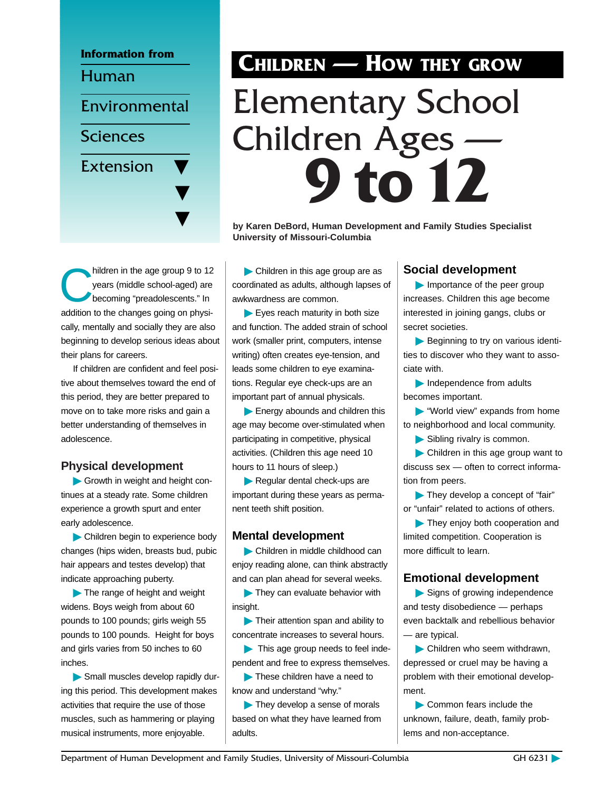

# **CHILDREN — HOW THEY GROW** Elementary School Children Ages — **9 to12**

**by Karen DeBord, Human Development and Family Studies Specialist University of Missouri-Columbia**

hildren in the age group 9 to 12<br>
years (middle school-aged) are<br>
becoming "preadolescents." In years (middle school-aged) are addition to the changes going on physically, mentally and socially they are also beginning to develop serious ideas about their plans for careers.

If children are confident and feel positive about themselves toward the end of this period, they are better prepared to move on to take more risks and gain a better understanding of themselves in adolescence.

#### **Physical development**

© Growth in weight and height continues at a steady rate. Some children experience a growth spurt and enter early adolescence.

© Children begin to experience body changes (hips widen, breasts bud, pubic hair appears and testes develop) that indicate approaching puberty.

© The range of height and weight widens. Boys weigh from about 60 pounds to 100 pounds; girls weigh 55 pounds to 100 pounds. Height for boys and girls varies from 50 inches to 60 inches.

© Small muscles develop rapidly during this period. This development makes activities that require the use of those muscles, such as hammering or playing musical instruments, more enjoyable.

© Children in this age group are as coordinated as adults, although lapses of awkwardness are common.

Eyes reach maturity in both size and function. The added strain of school work (smaller print, computers, intense writing) often creates eye-tension, and leads some children to eye examinations. Regular eye check-ups are an important part of annual physicals.

▶ Energy abounds and children this age may become over-stimulated when participating in competitive, physical activities. (Children this age need 10 hours to 11 hours of sleep.)

© Regular dental check-ups are important during these years as permanent teeth shift position.

#### **Mental development**

© Children in middle childhood can enjoy reading alone, can think abstractly and can plan ahead for several weeks.

© They can evaluate behavior with insight.

© Their attention span and ability to concentrate increases to several hours.

© This age group needs to feel independent and free to express themselves.

© These children have a need to know and understand "why."

© They develop a sense of morals based on what they have learned from adults.

#### **Social development**

© Importance of the peer group increases. Children this age become interested in joining gangs, clubs or secret societies.

© Beginning to try on various identities to discover who they want to associate with.

© Independence from adults becomes important.

© "World view" expands from home to neighborhood and local community.

© Sibling rivalry is common.

© Children in this age group want to discuss sex — often to correct information from peers.

© They develop a concept of "fair" or "unfair" related to actions of others.

They enjoy both cooperation and limited competition. Cooperation is more difficult to learn.

#### **Emotional development**

Signs of growing independence and testy disobedience — perhaps even backtalk and rebellious behavior — are typical.

© Children who seem withdrawn, depressed or cruel may be having a problem with their emotional development.

© Common fears include the unknown, failure, death, family problems and non-acceptance.